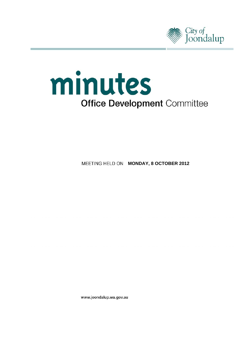

# minutes **Office Development Committee**

**MEETING HELD ON MONDAY, 8 OCTOBER 2012** 

www.joondalup.wa.gov.au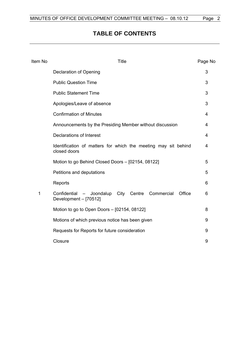# **TABLE OF CONTENTS**

| Item No | <b>Title</b>                                                                             |   |
|---------|------------------------------------------------------------------------------------------|---|
|         | Declaration of Opening                                                                   | 3 |
|         | <b>Public Question Time</b>                                                              | 3 |
|         | <b>Public Statement Time</b>                                                             | 3 |
|         | Apologies/Leave of absence                                                               | 3 |
|         | <b>Confirmation of Minutes</b>                                                           | 4 |
|         | Announcements by the Presiding Member without discussion                                 | 4 |
|         | Declarations of Interest                                                                 | 4 |
|         | Identification of matters for which the meeting may sit behind<br>closed doors           | 4 |
|         | Motion to go Behind Closed Doors - [02154, 08122]                                        | 5 |
|         | Petitions and deputations                                                                | 5 |
|         | Reports                                                                                  | 6 |
| 1       | Office<br>- Joondalup City Centre<br>Commercial<br>Confidential<br>Development - [70512] | 6 |
|         | Motion to go to Open Doors - [02154, 08122]                                              | 8 |
|         | Motions of which previous notice has been given                                          | 9 |
|         | Requests for Reports for future consideration                                            | 9 |
|         | Closure                                                                                  | 9 |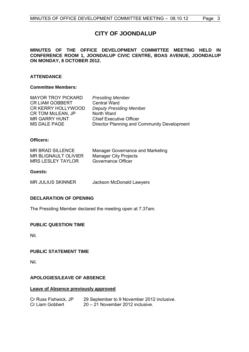# **CITY OF JOONDALUP**

#### <span id="page-2-0"></span>**MINUTES OF THE OFFICE DEVELOPMENT COMMITTEE MEETING HELD IN CONFERENCE ROOM 1, JOONDALUP CIVIC CENTRE, BOAS AVENUE, JOONDALUP ON MONDAY, 8 OCTOBER 2012.**

### **ATTENDANCE**

#### **Committee Members:**

| <b>Presiding Member</b>                     |
|---------------------------------------------|
| <b>Central Ward</b>                         |
| <b>Deputy Presiding Member</b>              |
| North Ward                                  |
| <b>Chief Executive Officer</b>              |
| Director Planning and Community Development |
|                                             |

#### **Officers:**

| <b>MR BRAD SILLENCE</b>  | Manager Governance and Marketing |
|--------------------------|----------------------------------|
| MR BLIGNAULT OLIVIER     | <b>Manager City Projects</b>     |
| <b>MRS LESLEY TAYLOR</b> | Governance Officer               |

#### **Guests:**

MR JULIUS SKINNER Jackson McDonald Lawyers

#### **DECLARATION OF OPENING**

The Presiding Member declared the meeting open at 7.37am.

#### **PUBLIC QUESTION TIME**

Nil.

#### **PUBLIC STATEMENT TIME**

Nil.

#### **APOLOGIES/LEAVE OF ABSENCE**

#### **Leave of Absence previously approved**

| Cr Russ Fishwick, JP | 29 September to 9 November 2012 inclusive. |
|----------------------|--------------------------------------------|
| Cr Liam Gobbert      | $20 - 21$ November 2012 inclusive.         |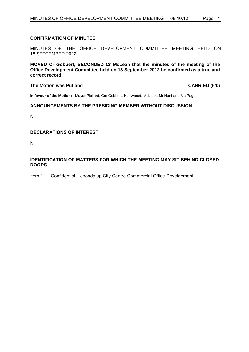#### <span id="page-3-0"></span>**CONFIRMATION OF MINUTES**

#### MINUTES OF THE OFFICE DEVELOPMENT COMMITTEE MEETING HELD ON 18 SEPTEMBER 2012

**MOVED Cr Gobbert, SECONDED Cr McLean that the minutes of the meeting of the Office Development Committee held on 18 September 2012 be confirmed as a true and correct record.** 

#### **The Motion was Put and CARRIED (6/0)**

**In favour of the Motion:** Mayor Pickard, Crs Gobbert, Hollywood, McLean, Mr Hunt and Ms Page

#### **ANNOUNCEMENTS BY THE PRESIDING MEMBER WITHOUT DISCUSSION**

Nil.

#### **DECLARATIONS OF INTEREST**

Nil.

#### **IDENTIFICATION OF MATTERS FOR WHICH THE MEETING MAY SIT BEHIND CLOSED DOORS**

Item 1 Confidential – Joondalup City Centre Commercial Office Development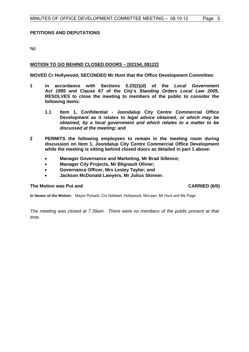#### <span id="page-4-0"></span>**PETITIONS AND DEPUTATIONS**

Nil.

#### **MOTION TO GO BEHIND CLOSED DOORS – [02154, 08122]**

**MOVED Cr Hollywood, SECONDED Mr Hunt that the Office Development Committee:** 

- **1 in accordance with Sections 5.23(2)(d) of the** *Local Government Act 1995* **and Clause 67 of the City's** *Standing Orders Local Law 2005***, RESOLVES to close the meeting to members of the public to consider the following items:** 
	- **1.1 Item 1, Confidential Joondalup City Centre Commercial Office Development as it relates to** *legal advice obtained, or which may be obtained, by a local government and which relates to a matter to be discussed at the meeting***; and**
- **2 PERMITS the following employees to remain in the meeting room during discussion on Item 1, Joondalup City Centre Commercial Office Development while the meeting is sitting behind closed doors as detailed in part 1 above:** 
	- **Manager Governance and Marketing, Mr Brad Sillence;**
	- **Manager City Projects, Mr Blignault Olivier;**
	- **Governance Officer, Mrs Lesley Taylor; and**
	- **Jackson McDonald Lawyers, Mr Julius Skinner.**

### **The Motion was Put and CARRIED (6/0)**

**In favour of the Motion:** Mayor Pickard, Crs Gobbert, Hollywood, McLean, Mr Hunt and Ms Page

*The meeting was closed at 7.39am. There were no members of the public present at that time.*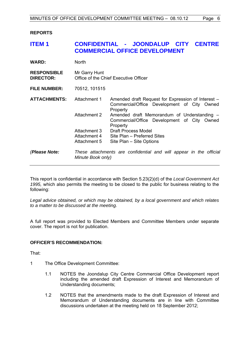#### <span id="page-5-0"></span>**REPORTS**

## **ITEM 1 CONFIDENTIAL - JOONDALUP CITY CENTRE COMMERCIAL OFFICE DEVELOPMENT**

| <b>WARD:</b>                           | <b>North</b>                                           |                                                                                                               |  |
|----------------------------------------|--------------------------------------------------------|---------------------------------------------------------------------------------------------------------------|--|
| <b>RESPONSIBLE</b><br><b>DIRECTOR:</b> | Mr Garry Hunt<br>Office of the Chief Executive Officer |                                                                                                               |  |
| <b>FILE NUMBER:</b>                    | 70512, 101515                                          |                                                                                                               |  |
| <b>ATTACHMENTS:</b>                    | Attachment 1                                           | Amended draft Request for Expression of Interest –<br>Commercial/Office Development of City Owned<br>Property |  |
|                                        | Attachment 2                                           | Amended draft Memorandum of Understanding -<br>Commercial/Office Development of City Owned<br>Property        |  |
|                                        | Attachment 3                                           | <b>Draft Process Model</b>                                                                                    |  |
|                                        | Attachment 4                                           | Site Plan - Preferred Sites                                                                                   |  |
|                                        | Attachment 5                                           | Site Plan – Site Options                                                                                      |  |
| (Please Note:                          | Minute Book only)                                      | These attachments are confidential and will appear in the official                                            |  |

This report is confidential in accordance with Section 5.23(2)(d) of the *Local Government Act 1995,* which also permits the meeting to be closed to the public for business relating to the following:

*Legal advice obtained, or which may be obtained, by a local government and which relates to a matter to be discussed at the meeting.* 

A full report was provided to Elected Members and Committee Members under separate cover. The report is not for publication.

#### **OFFICER'S RECOMMENDATION:**

That:

- 1 The Office Development Committee:
	- 1.1 NOTES the Joondalup City Centre Commercial Office Development report including the amended draft Expression of Interest and Memorandum of Understanding documents;
	- 1.2 NOTES that the amendments made to the draft Expression of Interest and Memorandum of Understanding documents are in line with Committee discussions undertaken at the meeting held on 18 September 2012;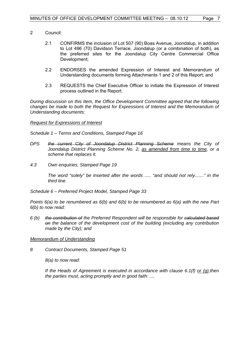- 2 Council:
	- 2.1 CONFIRMS the inclusion of Lot 507 (90) Boas Avenue, Joondalup, in addition to Lot 496 (70) Davidson Terrace, Joondalup (or a combination of both), as the preferred sites for the Joondalup City Centre Commercial Office Development;
	- 2.2 ENDORSES the amended Expression of Interest and Memorandum of Understanding documents forming Attachments 1 and 2 of this Report; and
	- 2.3 REQUESTS the Chief Executive Officer to initiate the Expression of Interest process outlined in the Report.

*During discussion on this Item, the Office Development Committee agreed that the following changes be made to both the Request for Expressions of Interest and the Memorandum of Understanding documents:* 

#### *Request for Expressions of Interest*

*Schedule 1 – Terms and Conditions, Stamped Page 16* 

- DPS the current City of Joondalup District Planning Scheme means the City of *Joondalup District Planning Scheme No. 2, as amended from time to time, or a scheme that replaces it.*
- *4.3 Own enquiries, Stamped Page 19*

 *The word "solely" be inserted after the words ..... "and should not rely......." in the third line.* 

*Schedule 6 – Preferred Project Model, Stamped Page 33* 

*Points 6(a) to be renumbered as 6(b) and 6(b) to be renumbered as 6(a) with the new Part 6(b) to now read:* 

*6 (b) the contribution of the Preferred Respondent will be responsible for calculated based on the balance of the development cost of the building (excluding any contribution made by the City); and* 

#### *Memorandum of Understanding*

*8 Contract Documents, Stamped Page 51* 

 *8(a) to now read:* 

 *If the Heads of Agreement is executed in accordance with clause 6.1(f) or (g),then the parties must, acting promptly and in good faith: ....*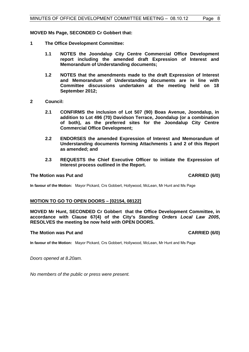<span id="page-7-0"></span>**MOVED Ms Page, SECONDED Cr Gobbert that:** 

- **1 The Office Development Committee:** 
	- **1.1 NOTES the Joondalup City Centre Commercial Office Development report including the amended draft Expression of Interest and Memorandum of Understanding documents;**
	- **1.2 NOTES that the amendments made to the draft Expression of Interest and Memorandum of Understanding documents are in line with Committee discussions undertaken at the meeting held on 18 September 2012;**
- **2 Council:** 
	- **2.1 CONFIRMS the inclusion of Lot 507 (90) Boas Avenue, Joondalup, in addition to Lot 496 (70) Davidson Terrace, Joondalup (or a combination of both), as the preferred sites for the Joondalup City Centre Commercial Office Development;**
	- **2.2 ENDORSES the amended Expression of Interest and Memorandum of Understanding documents forming Attachments 1 and 2 of this Report as amended; and**
	- **2.3 REQUESTS the Chief Executive Officer to initiate the Expression of Interest process outlined in the Report.**

#### **The Motion was Put and CARRIED (6/0) CARRIED (6/0)**

**In favour of the Motion:** Mayor Pickard, Crs Gobbert, Hollywood, McLean, Mr Hunt and Ms Page

#### **MOTION TO GO TO OPEN DOORS – [02154, 08122]**

**MOVED Mr Hunt, SECONDED Cr Gobbert that the Office Development Committee, in accordance with Clause 67(4) of the City's** *Standing Orders Local Law 2005***, RESOLVES the meeting be now held with OPEN DOORS.** 

#### **The Motion was Put and CARRIED (6/0) CARRIED (6/0)**

**In favour of the Motion:** Mayor Pickard, Crs Gobbert, Hollywood, McLean, Mr Hunt and Ms Page

*Doors opened at 8.20am.* 

*No members of the public or press were present.*